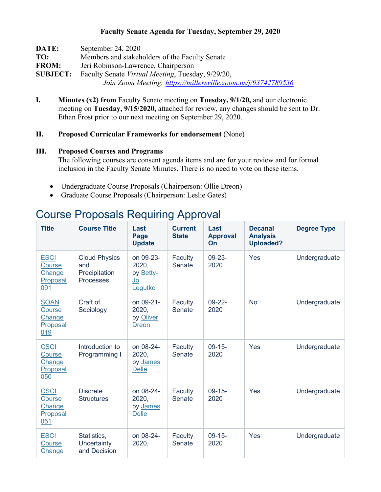#### **Faculty Senate Agenda for Tuesday, September 29, 2020**

| DATE:           | September 24, 2020                                            |  |  |  |  |  |
|-----------------|---------------------------------------------------------------|--|--|--|--|--|
| TO:             | Members and stakeholders of the Faculty Senate                |  |  |  |  |  |
| <b>FROM:</b>    | Jeri Robinson-Lawrence, Chairperson                           |  |  |  |  |  |
| <b>SUBJECT:</b> | Faculty Senate <i>Virtual Meeting</i> , Tuesday, 9/29/20,     |  |  |  |  |  |
|                 | Join Zoom Meeting: https://millersville.zoom.us/j/93742789536 |  |  |  |  |  |

**I. Minutes (x2) from** Faculty Senate meeting on **Tuesday, 9/1/20,** and our electronic meeting on **Tuesday, 9/15/2020,** attached for review, any changes should be sent to Dr. Ethan Frost prior to our next meeting on September 29, 2020.

#### **II. Proposed Curricular Frameworks for endorsement** (None)

#### **III. Proposed Courses and Programs**

The following courses are consent agenda items and are for your review and for formal inclusion in the Faculty Senate Minutes. There is no need to vote on these items.

- Undergraduate Course Proposals (Chairperson: Ollie Dreon)
- Graduate Course Proposals (Chairperson: Leslie Gates)

# Course Proposals Requiring Approval

| <b>Title</b>                                              | <b>Course Title</b>                                       | Last<br>Page<br><b>Update</b>                           | <b>Current</b><br><b>State</b> | Last<br><b>Approval</b><br>On | <b>Decanal</b><br><b>Analysis</b><br><b>Uploaded?</b> | <b>Degree Type</b> |
|-----------------------------------------------------------|-----------------------------------------------------------|---------------------------------------------------------|--------------------------------|-------------------------------|-------------------------------------------------------|--------------------|
| <b>ESCI</b><br>Course<br>Change<br>Proposal<br>091        | <b>Cloud Physics</b><br>and<br>Precipitation<br>Processes | on 09-23-<br>2020,<br>by Betty-<br><u>Jo</u><br>Legutko | Faculty<br>Senate              | $09 - 23 -$<br>2020           | Yes                                                   | Undergraduate      |
| <b>SOAN</b><br><b>Course</b><br>Change<br>Proposal<br>019 | Craft of<br>Sociology                                     | on 09-21-<br>2020,<br>by Oliver<br><b>Dreon</b>         | Faculty<br>Senate              | $09-22-$<br>2020              | <b>No</b>                                             | Undergraduate      |
| <b>CSCI</b><br>Course<br>Change<br>Proposal<br>050        | Introduction to<br>Programming I                          | on 08-24-<br>2020,<br>by James<br><b>Delle</b>          | Faculty<br>Senate              | $09-15-$<br>2020              | Yes                                                   | Undergraduate      |
| <b>CSCI</b><br>Course<br>Change<br>Proposal<br>051        | <b>Discrete</b><br><b>Structures</b>                      | on 08-24-<br>2020,<br>by James<br><b>Delle</b>          | Faculty<br>Senate              | $09-15-$<br>2020              | Yes                                                   | Undergraduate      |
| <b>ESCI</b><br>Course<br>Change                           | Statistics,<br>Uncertainty<br>and Decision                | on 08-24-<br>2020,                                      | Faculty<br>Senate              | $09-15-$<br>2020              | Yes                                                   | Undergraduate      |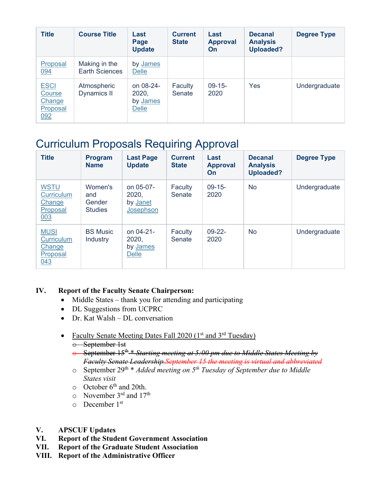| <b>Title</b>                                       | <b>Course Title</b>                    | Last<br>Page<br><b>Update</b>                  | <b>Current</b><br><b>State</b> | Last<br><b>Approval</b><br>On | <b>Decanal</b><br><b>Analysis</b><br><b>Uploaded?</b> | <b>Degree Type</b> |
|----------------------------------------------------|----------------------------------------|------------------------------------------------|--------------------------------|-------------------------------|-------------------------------------------------------|--------------------|
| Proposal<br>094                                    | Making in the<br><b>Earth Sciences</b> | by James<br>Delle                              |                                |                               |                                                       |                    |
| <b>ESCI</b><br>Course<br>Change<br>Proposal<br>092 | Atmospheric<br>Dynamics II             | on 08-24-<br>2020,<br>by James<br><b>Delle</b> | Faculty<br>Senate              | $09-15-$<br>2020              | Yes                                                   | Undergraduate      |

# Curriculum Proposals Requiring Approval

| <b>Title</b>                                                  | <b>Program</b><br><b>Name</b>              | <b>Last Page</b><br><b>Update</b>              | <b>Current</b><br><b>State</b> | Last<br><b>Approval</b><br>On | <b>Decanal</b><br><b>Analysis</b><br><b>Uploaded?</b> | <b>Degree Type</b> |
|---------------------------------------------------------------|--------------------------------------------|------------------------------------------------|--------------------------------|-------------------------------|-------------------------------------------------------|--------------------|
| <b>WSTU</b><br><b>Curriculum</b><br>Change<br>Proposal<br>003 | Women's<br>and<br>Gender<br><b>Studies</b> | on 05-07-<br>2020,<br>by Janet<br>Josephson    | Faculty<br>Senate              | $09-15-$<br>2020              | <b>No</b>                                             | Undergraduate      |
| <b>MUSI</b><br><b>Curriculum</b><br>Change<br>Proposal<br>043 | <b>BS Music</b><br>Industry                | on 04-21-<br>2020,<br>by James<br><b>Delle</b> | Faculty<br>Senate              | $09-22-$<br>2020              | <b>No</b>                                             | Undergraduate      |

## **IV. Report of the Faculty Senate Chairperson:**

- Middle States thank you for attending and participating
- DL Suggestions from UCPRC
- Dr. Kat Walsh DL conversation
- Faculty Senate Meeting Dates Fall  $2020$  ( $1<sup>st</sup>$  and  $3<sup>rd</sup>$  Tuesday) o September 1st
	- o September 15th \* *Starting meeting at 5:00 pm due to Middle States Meeting by Faculty Senate Leadership.September 15 the meeting is virtual and abbreviated*
	- o September 29th \* *Added meeting on 5th Tuesday of September due to Middle States visit*
	- $\circ$  October 6<sup>th</sup> and 20th.
	- o November 3rd and 17th
	- $\circ$  December 1<sup>st</sup>
- **V. APSCUF Updates**
- **VI. Report of the Student Government Association**
- **VII. Report of the Graduate Student Association**
- **VIII. Report of the Administrative Officer**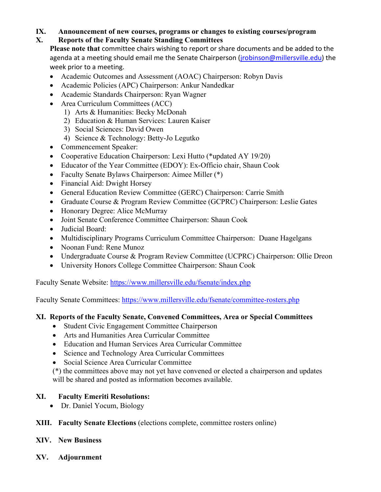# **IX. Announcement of new courses, programs or changes to existing courses/program**

## **X. Reports of the Faculty Senate Standing Committees**

**Please note that** committee chairs wishing to report or share documents and be added to the agenda at a meeting should email me the Senate Chairperson (*jrobinson@millersville.edu*) the week prior to a meeting.

- Academic Outcomes and Assessment (AOAC) Chairperson: Robyn Davis
- Academic Policies (APC) Chairperson: Ankur Nandedkar
- Academic Standards Chairperson: Ryan Wagner
- Area Curriculum Committees (ACC)
	- 1) Arts & Humanities: Becky McDonah
	- 2) Education & Human Services: Lauren Kaiser
	- 3) Social Sciences: David Owen
	- 4) Science & Technology: Betty-Jo Legutko
- Commencement Speaker:
- Cooperative Education Chairperson: Lexi Hutto (\*updated AY 19/20)
- Educator of the Year Committee (EDOY): Ex-Officio chair, Shaun Cook
- Faculty Senate Bylaws Chairperson: Aimee Miller (\*)
- Financial Aid: Dwight Horsey
- General Education Review Committee (GERC) Chairperson: Carrie Smith
- Graduate Course & Program Review Committee (GCPRC) Chairperson: Leslie Gates
- Honorary Degree: Alice McMurray
- Joint Senate Conference Committee Chairperson: Shaun Cook
- Judicial Board:
- Multidisciplinary Programs Curriculum Committee Chairperson: Duane Hagelgans
- Noonan Fund: Rene Munoz
- Undergraduate Course & Program Review Committee (UCPRC) Chairperson: Ollie Dreon
- University Honors College Committee Chairperson: Shaun Cook

Faculty Senate Website:<https://www.millersville.edu/fsenate/index.php>

Faculty Senate Committees:<https://www.millersville.edu/fsenate/committee-rosters.php>

## **XI. Reports of the Faculty Senate, Convened Committees, Area or Special Committees**

- Student Civic Engagement Committee Chairperson
- Arts and Humanities Area Curricular Committee
- Education and Human Services Area Curricular Committee
- Science and Technology Area Curricular Committees
- Social Science Area Curricular Committee

(\*) the committees above may not yet have convened or elected a chairperson and updates will be shared and posted as information becomes available.

## **XI. Faculty Emeriti Resolutions:**

- Dr. Daniel Yocum, Biology
- **XIII. Faculty Senate Elections** (elections complete, committee rosters online)
- **XIV. New Business**
- **XV. Adjournment**